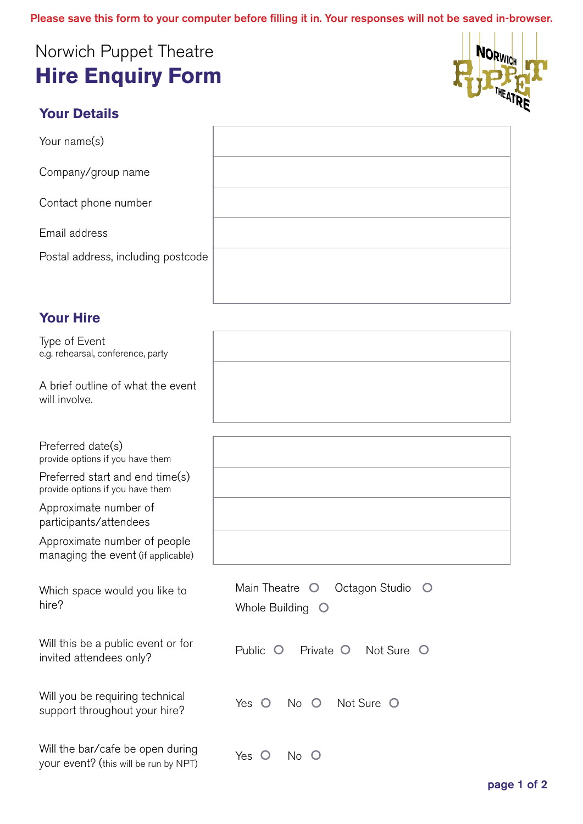## Norwich Puppet Theatre **Hire Enquiry Form**



## **Your Details**

Your name(s)

Company/group name

Contact phone number

Email address

Postal address, including postco

## **Your Hire**

Type of Event e.g. rehearsal, conference, party

A brief outline of what the event will involve.

Preferred date(s) provide options if you have them

Preferred start and end time(s) provide options if you have them

Approximate number of participants/attendees

Approximate number of people managing the event (if applicable)

Which space would you like to hire?

Will this be a public event or for invited attendees only?

| Will you be requiring technical |  |  |  |  | Yes O No O Not Sure |
|---------------------------------|--|--|--|--|---------------------|
| support throughout your hire?   |  |  |  |  |                     |

Will the bar/cafe be open during your event? (this will be run by NPT)  $\gamma$ es  $\circ$  No  $\circ$  No  $\circ$ 

| ode |  |
|-----|--|
|     |  |

| ,我们也不会有什么?""我们的人,我们也不会有什么?""我们的人,我们也不会有什么?""我们的人,我们也不会有什么?""我们的人,我们也不会有什么?""我们的人  |  | the control of the control of the control of |
|-----------------------------------------------------------------------------------|--|----------------------------------------------|
|                                                                                   |  |                                              |
|                                                                                   |  |                                              |
| ,我们也不会有什么?""我们的人,我们也不会不会不会。""我们的人,我们也不会不会不会不会。""我们的人,我们也不会不会不会。""我们的人,我们也不会不会不会不  |  |                                              |
|                                                                                   |  |                                              |
| ,我们也不能在这里的时候,我们也不能在这里的时候,我们也不能会在这里的时候,我们也不能会在这里的时候,我们也不能会在这里的时候,我们也不能会在这里的时候,我们也不 |  | the control of the control of                |
|                                                                                   |  |                                              |
|                                                                                   |  |                                              |
| ,我们也不能会在这里,我们的人们就会在这里,我们的人们就会在这里,我们的人们就会在这里,我们的人们就会在这里,我们的人们就会在这里,我们的人们就会在这里,我们的  |  | ______                                       |
|                                                                                   |  |                                              |
|                                                                                   |  |                                              |
|                                                                                   |  |                                              |

| Main Theatre O Octagon Studio O |  |  |  |  |
|---------------------------------|--|--|--|--|
| Whole Building O                |  |  |  |  |
|                                 |  |  |  |  |
| Public O Private O Not Sure O   |  |  |  |  |
| Yes O No O Not Sure O           |  |  |  |  |